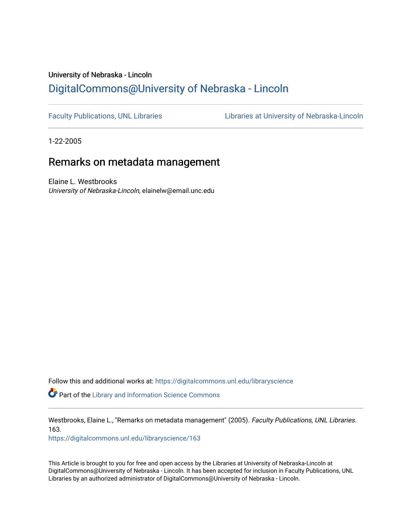# University of Nebraska - Lincoln [DigitalCommons@University of Nebraska - Lincoln](https://digitalcommons.unl.edu/)

[Faculty Publications, UNL Libraries](https://digitalcommons.unl.edu/libraryscience) Libraries Libraries at University of Nebraska-Lincoln

1-22-2005

## Remarks on metadata management

Elaine L. Westbrooks University of Nebraska-Lincoln, elainelw@email.unc.edu

Follow this and additional works at: [https://digitalcommons.unl.edu/libraryscience](https://digitalcommons.unl.edu/libraryscience?utm_source=digitalcommons.unl.edu%2Flibraryscience%2F163&utm_medium=PDF&utm_campaign=PDFCoverPages)

**Part of the Library and Information Science Commons** 

Westbrooks, Elaine L., "Remarks on metadata management" (2005). Faculty Publications, UNL Libraries. 163.

[https://digitalcommons.unl.edu/libraryscience/163](https://digitalcommons.unl.edu/libraryscience/163?utm_source=digitalcommons.unl.edu%2Flibraryscience%2F163&utm_medium=PDF&utm_campaign=PDFCoverPages)

This Article is brought to you for free and open access by the Libraries at University of Nebraska-Lincoln at DigitalCommons@University of Nebraska - Lincoln. It has been accepted for inclusion in Faculty Publications, UNL Libraries by an authorized administrator of DigitalCommons@University of Nebraska - Lincoln.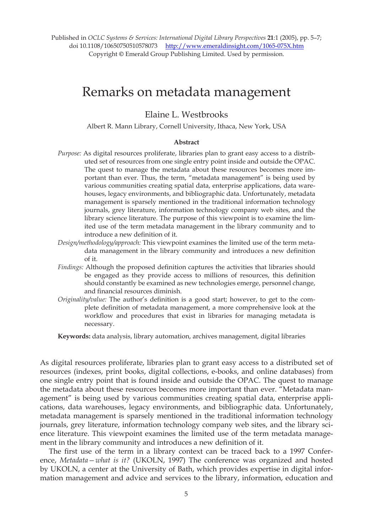## Remarks on metadata management

Elaine L. Westbrooks

Albert R. Mann Library, Cornell University, Ithaca, New York, USA

#### **Abstract**

- *Purpose:* As digital resources proliferate, libraries plan to grant easy access to a distributed set of resources from one single entry point inside and outside the OPAC. The quest to manage the metadata about these resources becomes more important than ever. Thus, the term, "metadata management" is being used by various communities creating spatial data, enterprise applications, data warehouses, legacy environments, and bibliographic data. Unfortunately, metadata management is sparsely mentioned in the traditional information technology journals, grey literature, information technology company web sites, and the library science literature. The purpose of this viewpoint is to examine the limited use of the term metadata management in the library community and to introduce a new definition of it.
- *Design/methodology/approach:* This viewpoint examines the limited use of the term metadata management in the library community and introduces a new definition of it.
- *Findings:* Although the proposed definition captures the activities that libraries should be engaged as they provide access to millions of resources, this definition should constantly be examined as new technologies emerge, personnel change, and financial resources diminish.
- *Originality/value:* The author's definition is a good start; however, to get to the complete definition of metadata management, a more comprehensive look at the workflow and procedures that exist in libraries for managing metadata is necessary.

**Keywords:** data analysis, library automation, archives management, digital libraries

As digital resources proliferate, libraries plan to grant easy access to a distributed set of resources (indexes, print books, digital collections, e-books, and online databases) from one single entry point that is found inside and outside the OPAC. The quest to manage the metadata about these resources becomes more important than ever. "Metadata management" is being used by various communities creating spatial data, enterprise applications, data warehouses, legacy environments, and bibliographic data. Unfortunately, metadata management is sparsely mentioned in the traditional information technology journals, grey literature, information technology company web sites, and the library science literature. This viewpoint examines the limited use of the term metadata management in the library community and introduces a new definition of it.

The first use of the term in a library context can be traced back to a 1997 Conference, *Metadata—what is it?* (UKOLN, 1997) The conference was organized and hosted by UKOLN, a center at the University of Bath, which provides expertise in digital information management and advice and services to the library, information, education and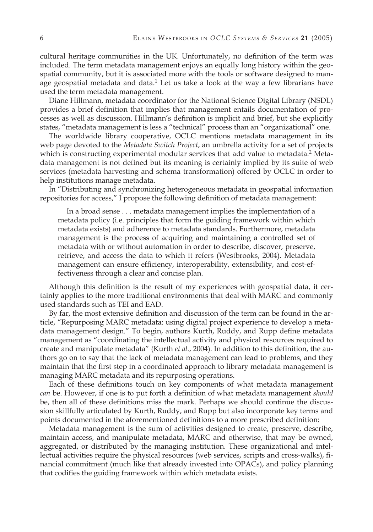cultural heritage communities in the UK. Unfortunately, no definition of the term was included. The term metadata management enjoys an equally long history within the geospatial community, but it is associated more with the tools or software designed to manage geospatial metadata and data.<sup>1</sup> Let us take a look at the way a few librarians have used the term metadata management.

Diane Hillmann, metadata coordinator for the National Science Digital Library (NSDL) provides a brief definition that implies that management entails documentation of processes as well as discussion. Hillmann's definition is implicit and brief, but she explicitly states, "metadata management is less a "technical" process than an "organizational" one.

The worldwide library cooperative, OCLC mentions metadata management in its web page devoted to the *Metadata Switch Project*, an umbrella activity for a set of projects which is constructing experimental modular services that add value to metadata.<sup>2</sup> Metadata management is not defined but its meaning is certainly implied by its suite of web services (metadata harvesting and schema transformation) offered by OCLC in order to help institutions manage metadata.

In "Distributing and synchronizing heterogeneous metadata in geospatial information repositories for access," I propose the following definition of metadata management:

In a broad sense . . . metadata management implies the implementation of a metadata policy (i.e. principles that form the guiding framework within which metadata exists) and adherence to metadata standards. Furthermore, metadata management is the process of acquiring and maintaining a controlled set of metadata with or without automation in order to describe, discover, preserve, retrieve, and access the data to which it refers (Westbrooks, 2004). Metadata management can ensure efficiency, interoperability, extensibility, and cost-effectiveness through a clear and concise plan.

Although this definition is the result of my experiences with geospatial data, it certainly applies to the more traditional environments that deal with MARC and commonly used standards such as TEI and EAD.

By far, the most extensive definition and discussion of the term can be found in the article, "Repurposing MARC metadata: using digital project experience to develop a metadata management design." To begin, authors Kurth, Ruddy, and Rupp define metadata management as "coordinating the intellectual activity and physical resources required to create and manipulate metadata" (Kurth *et al.*, 2004). In addition to this definition, the authors go on to say that the lack of metadata management can lead to problems, and they maintain that the first step in a coordinated approach to library metadata management is managing MARC metadata and its repurposing operations.

Each of these definitions touch on key components of what metadata management *can* be. However, if one is to put forth a definition of what metadata management *should* be, then all of these definitions miss the mark. Perhaps we should continue the discussion skillfully articulated by Kurth, Ruddy, and Rupp but also incorporate key terms and points documented in the aforementioned definitions to a more prescribed definition:

Metadata management is the sum of activities designed to create, preserve, describe, maintain access, and manipulate metadata, MARC and otherwise, that may be owned, aggregated, or distributed by the managing institution. These organizational and intellectual activities require the physical resources (web services, scripts and cross-walks), financial commitment (much like that already invested into OPACs), and policy planning that codifies the guiding framework within which metadata exists.